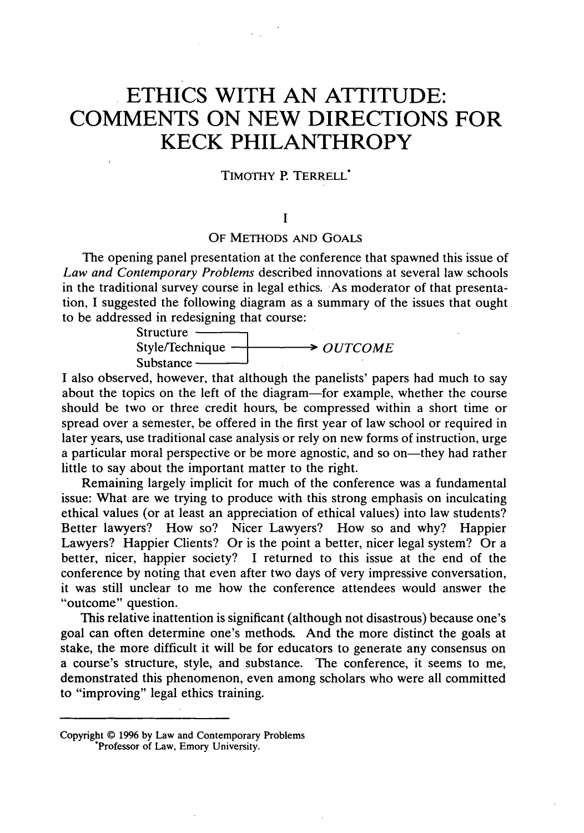# **ETHICS WITH AN ATTITUDE: COMMENTS ON NEW DIRECTIONS FOR KECK PHILANTHROPY**

# TIMOTHY P. TERRELL\*

### $\mathbf{I}$

# OF **METHODS AND GOALS**

The opening panel presentation at the conference that spawned this issue of *Law and Contemporary Problems* described innovations at several law schools in the traditional survey course in legal ethics. As moderator of that presentation, I suggested the following diagram as a summary of the issues that ought to be addressed in redesigning that course:

> Structure  $\longrightarrow$  *OUTCOME* Substance

I also observed, however, that although the panelists' papers had much to say about the topics on the left of the diagram-for example, whether the course should be two or three credit hours, be compressed within a short time or spread over a semester, be offered in the first year of law school or required in later years, use traditional case analysis or rely on new forms of instruction, urge a particular moral perspective or be more agnostic, and so on-they had rather little to say about the important matter to the right.

Remaining largely implicit for much of the conference was a fundamental issue: What are we trying to produce with this strong emphasis on inculcating ethical values (or at least an appreciation of ethical values) into law students? Better lawyers? How so? Nicer Lawyers? How so and why? Happier Lawyers? Happier Clients? Or is the point a better, nicer legal system? Or a better, nicer, happier society? I returned to this issue at the end of the conference by noting that even after two days of very impressive conversation, it was still unclear to me how the conference attendees would answer the "outcome" question.

This relative inattention is significant (although not disastrous) because one's goal can often determine one's methods. And the more distinct the goals at stake, the more difficult it will be for educators to generate any consensus on a course's structure, style, and substance. The conference, it seems to me, demonstrated this phenomenon, even among scholars who were all committed to "improving" legal ethics training.

Copyright **© 1996 by** Law and Contemporary Problems \*Professor of Law, Emory University.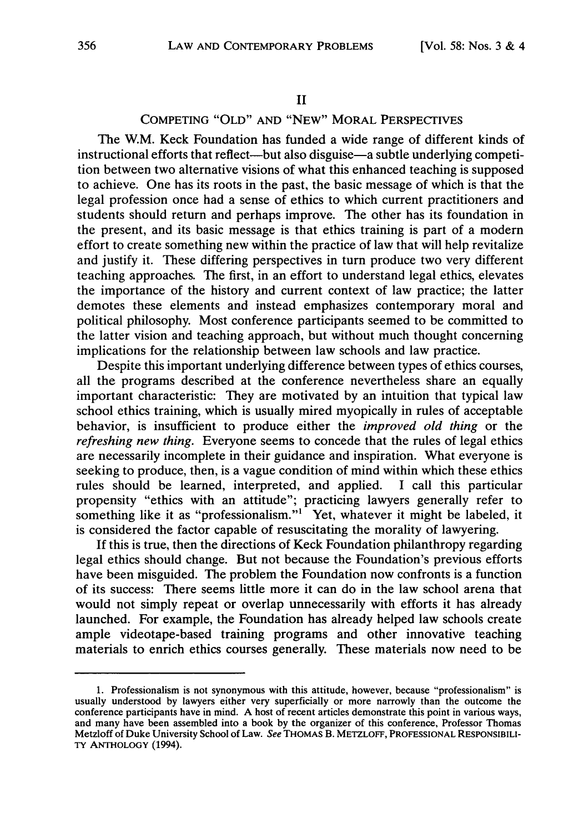# COMPETING "OLD" AND "NEW" MORAL PERSPECTIVES

The W.M. Keck Foundation has funded a wide range of different kinds of instructional efforts that reflect—but also disguise—a subtle underlying competition between two alternative visions of what this enhanced teaching is supposed to achieve. One has its roots in the past, the basic message of which is that the legal profession once had a sense of ethics to which current practitioners and students should return and perhaps improve. The other has its foundation in the present, and its basic message is that ethics training is part of a modern effort to create something new within the practice of law that will help revitalize and justify it. These differing perspectives in turn produce two very different teaching approaches. The first, in an effort to understand legal ethics, elevates the importance of the history and current context of law practice; the latter demotes these elements and instead emphasizes contemporary moral and political philosophy. Most conference participants seemed to be committed to the latter vision and teaching approach, but without much thought concerning implications for the relationship between law schools and law practice.

Despite this important underlying difference between types of ethics courses, all the programs described at the conference nevertheless share an equally important characteristic: They are motivated by an intuition that typical law school ethics training, which is usually mired myopically in rules of acceptable behavior, is insufficient to produce either the *improved old thing* or the *refreshing new thing.* Everyone seems to concede that the rules of legal ethics are necessarily incomplete in their guidance and inspiration. What everyone is seeking to produce, then, is a vague condition of mind within which these ethics rules should be learned, interpreted, and applied. I call this particular propensity "ethics with an attitude"; practicing lawyers generally refer to something like it as "professionalism."<sup>1</sup> Yet, whatever it might be labeled, it is considered the factor capable of resuscitating the morality of lawyering.

**If** this is true, then the directions of Keck Foundation philanthropy regarding legal ethics should change. But not because the Foundation's previous efforts have been misguided. The problem the Foundation now confronts is a function of its success: There seems little more it can do in the law school arena that would not simply repeat or overlap unnecessarily with efforts it has already launched. For example, the Foundation has already helped law schools create ample videotape-based training programs and other innovative teaching materials to enrich ethics courses generally. These materials now need to be

**<sup>1.</sup>** Professionalism is not synonymous with this attitude, however, because "professionalism" is usually understood by lawyers either very superficially or more narrowly than the outcome the conference participants have in mind. A host of recent articles demonstrate this point in various ways, and many have been assembled into a book by the organizer of this conference, Professor Thomas Metzloff of Duke University School of Law. See THOMAS B. METZLOFF, PROFESSIONAL RESPONSIBILI-TY **ANTHOLOGY** (1994).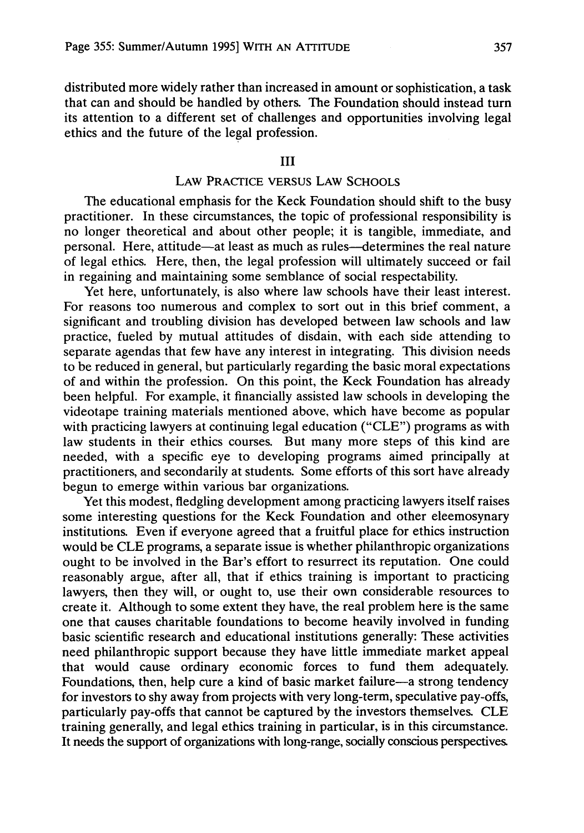distributed more widely rather than increased in amount or sophistication, a task that can and should be handled by others. The Foundation should instead turn its attention to a different set of challenges and opportunities involving legal ethics and the future of the legal profession.

# III

# LAW PRACTICE VERSUS LAW **SCHOOLS**

The educational emphasis for the Keck Foundation should shift to the busy practitioner. In these circumstances, the topic of professional responsibility is no longer theoretical and about other people; it is tangible, immediate, and personal. Here, attitude-at least as much as rules-determines the real nature of legal ethics. Here, then, the legal profession will ultimately succeed or fail in regaining and maintaining some semblance of social respectability.

Yet here, unfortunately, is also where law schools have their least interest. For reasons too numerous and complex to sort out in this brief comment, a significant and troubling division has developed between law schools and law practice, fueled by mutual attitudes of disdain, with each side attending to separate agendas that few have any interest in integrating. This division needs to be reduced in general, but particularly regarding the basic moral expectations of and within the profession. On this point, the Keck Foundation has already been helpful. For example, it financially assisted law schools in developing the videotape training materials mentioned above, which have become as popular with practicing lawyers at continuing legal education ("CLE") programs as with law students in their ethics courses. But many more steps of this kind are needed, with a specific eye to developing programs aimed principally at practitioners, and secondarily at students. Some efforts of this sort have already begun to emerge within various bar organizations.

Yet this modest, fledgling development among practicing lawyers itself raises some interesting questions for the Keck Foundation and other eleemosynary institutions. Even if everyone agreed that a fruitful place for ethics instruction would be CLE programs, a separate issue is whether philanthropic organizations ought to be involved in the Bar's effort to resurrect its reputation. One could reasonably argue, after all, that if ethics training is important to practicing lawyers, then they will, or ought to, use their own considerable resources to create it. Although to some extent they have, the real problem here is the same one that causes charitable foundations to become heavily involved in funding basic scientific research and educational institutions generally: These activities need philanthropic support because they have little immediate market appeal that would cause ordinary economic forces to fund them adequately. Foundations, then, help cure a kind of basic market failure-a strong tendency for investors to shy away from projects with very long-term, speculative pay-offs, particularly pay-offs that cannot be captured by the investors themselves. CLE training generally, and legal ethics training in particular, is in this circumstance. It needs the support of organizations with long-range, socially conscious perspectives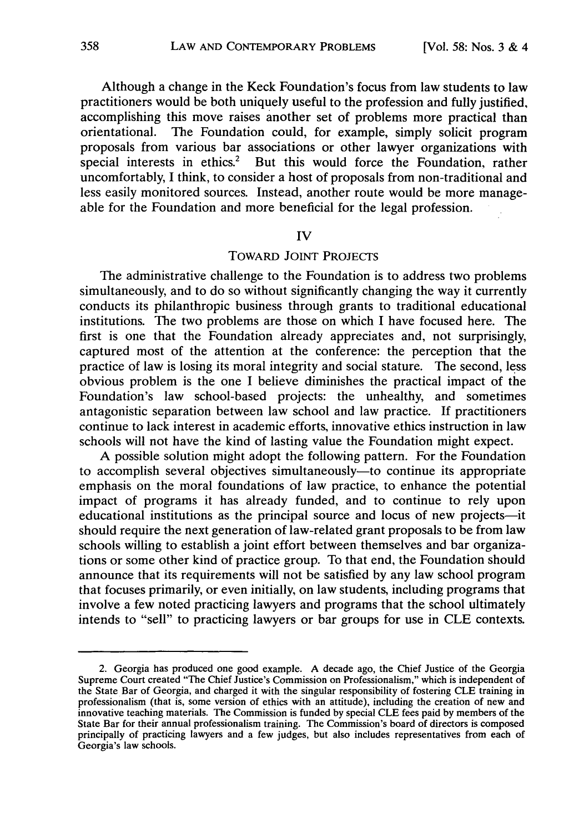Although a change in the Keck Foundation's focus from law students to law practitioners would be both uniquely useful to the profession and fully justified, accomplishing this move raises another set of problems more practical than orientational. The Foundation could, for example, simply solicit program proposals from various bar associations or other lawyer organizations with special interests in ethics.<sup>2</sup> But this would force the Foundation, rather uncomfortably, I think, to consider a host of proposals from non-traditional and less easily monitored sources. Instead, another route would be more manageable for the Foundation and more beneficial for the legal profession.

#### IV

# TOWARD JOINT PROJECTS

The administrative challenge to the Foundation is to address two problems simultaneously, and to do so without significantly changing the way it currently conducts its philanthropic business through grants to traditional educational institutions. The two problems are those on which I have focused here. The first is one that the Foundation already appreciates and, not surprisingly, captured most of the attention at the conference: the perception that the practice of law is losing its moral integrity and social stature. The second, less obvious problem is the one I believe diminishes the practical impact of the Foundation's law school-based projects: the unhealthy, and sometimes antagonistic separation between law school and law practice. **If** practitioners continue to lack interest in academic efforts, innovative ethics instruction in law schools will not have the kind of lasting value the Foundation might expect.

A possible solution might adopt the following pattern. For the Foundation to accomplish several objectives simultaneously—to continue its appropriate emphasis on the moral foundations of law practice, to enhance the potential impact of programs it has already funded, and to continue to rely upon educational institutions as the principal source and locus of new projects-it should require the next generation of law-related grant proposals to be from law schools willing to establish a joint effort between themselves and bar organizations or some other kind of practice group. To that end, the Foundation should announce that its requirements will not be satisfied by any law school program that focuses primarily, or even initially, on law students, including programs that involve a few noted practicing lawyers and programs that the school ultimately intends to "sell" to practicing lawyers or bar groups for use in CLE contexts.

<sup>2.</sup> Georgia has produced one good example. A decade ago, the Chief Justice of the Georgia Supreme Court created "The Chief Justice's Commission on Professionalism," which is independent of the State Bar of Georgia, and charged it with the singular responsibility of fostering CLE training in professionalism (that is, some version of ethics with an attitude), including the creation of new and innovative teaching materials. The Commission is funded by special CLE fees paid by members of the State Bar for their annual professionalism training. The Commission's board of directors is composed principally of practicing lawyers and a few judges, but also includes representatives from each of Georgia's law schools.